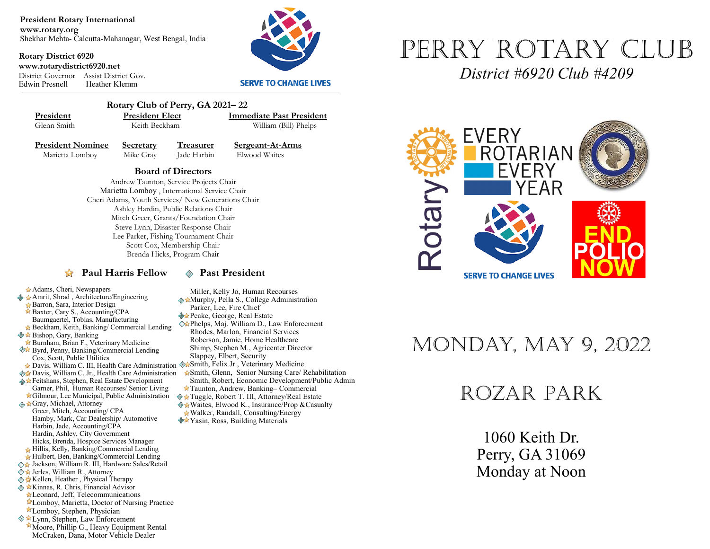**President Rotary International www.rotary.org** Shekhar Mehta- Calcutta-Mahanagar, West Bengal, India

**Rotary District 6920 www.rotarydistrict6920.net** District Governor Assist District Gov. Heather Klemm



#### **SERVE TO CHANGE LIVES**



 **Rotary Club of Perry, GA 2021– 22 President President Elect Immediate Past President**<br> **Glenn Smith Reith Beckham William (Bill) Phelns** 

William (Bill) Phelps

**President Nominee Secretary Treasurer Sergeant-At-Arms**<br>Marietta Lomboy Mike Gray **Lade Harbin** Elwood Waites Marietta Lomboy Mike Gray Jade Harbin

**Board of Directors**  Andrew Taunton, Service Projects Chair Marietta Lomboy , International Service Chair Cheri Adams, Youth Services/ New Generations Chair Ashley Hardin, Public Relations Chair Mitch Greer, Grants/Foundation Chair Steve Lynn, Disaster Response Chair Lee Parker, Fishing Tournament Chair Scott Cox, Membership Chair Brenda Hicks, Program Chair

#### **Paul Harris Fellow**  $\otimes$  **Past President**

Miller, Kelly Jo, Human Recourses **Murphy, Pella S., College Administration** 

- Parker, Lee, Fire Chief
- **Peake, George, Real Estate**
- Phelps, Maj. William D., Law Enforcement Rhodes, Marlon, Financial Services Roberson, Jamie, Home Healthcare Shimp, Stephen M., Agricenter Director Slappey, Elbert, Security
- Davis, William C. III, Health Care Administration WaSmith, Felix Jr., Veterinary Medicine
	- Smith, Glenn, Senior Nursing Care/ Rehabilitation Smith, Robert, Economic Development/Public Admin
	- Taunton, Andrew, Banking– Commercial
	- Tuggle, Robert T. III, Attorney/Real Estate   $\triangle$  **\*** Waites, Elwood K., Insurance/Prop & Casualty Walker, Randall, Consulting/Energy
	- **<sup>◆★</sup>Yasin, Ross, Building Materials**



*District #6920 Club #4209*



# Monday, May 9, 2022

## Rozar Park

1060 Keith Dr. Perry, GA 31069 Monday at Noon

Hillis, Kelly, Banking/Commercial Lending

Harbin, Jade, Accounting/CPA Hardin, Ashley, City Government Hicks, Brenda, Hospice Services Manager

Adams, Cheri, Newspapers ◆ ★ Amrit, Shrad, Architecture/Engineering Barron, Sara, Interior Design Baxter, Cary S., Accounting/CPA Baumgaertel, Tobias, Manufacturing Beckham, Keith, Banking/ Commercial Lending

Cox, Scott, Public Utilities

 $\diamondsuit$  **★ Bishop, Gary, Banking** 

Gray, Michael, Attorney Greer, Mitch, Accounting/ CPA

Hulbert, Ben, Banking/Commercial Lending

Burnham, Brian F., Veterinary Medicine  Byrd, Penny, Banking/Commercial Lending

Davis, William C, Jr., Health Care Administration Feitshans, Stephen, Real Estate Development Garner, Phil, Human Recourses/ Senior Living Gilmour, Lee Municipal, Public Administration

Hamby, Mark, Car Dealership/ Automotive

- ◆ Jackson, William R. III, Hardware Sales/Retail
- ◆ ★ Jerles, William R., Attorney
- **Kellen, Heather , Physical Therapy**
- **EXinnas, R. Chris, Financial Advisor**
- Leonard, Jeff, Telecommunications Lomboy, Marietta, Doctor of Nursing Practice
- 
- Lomboy, Stephen, Physician **Ext** Lynn, Stephen, Law Enforcement
- Moore, Phillip G., Heavy Equipment Rental McCraken, Dana, Motor Vehicle Dealer